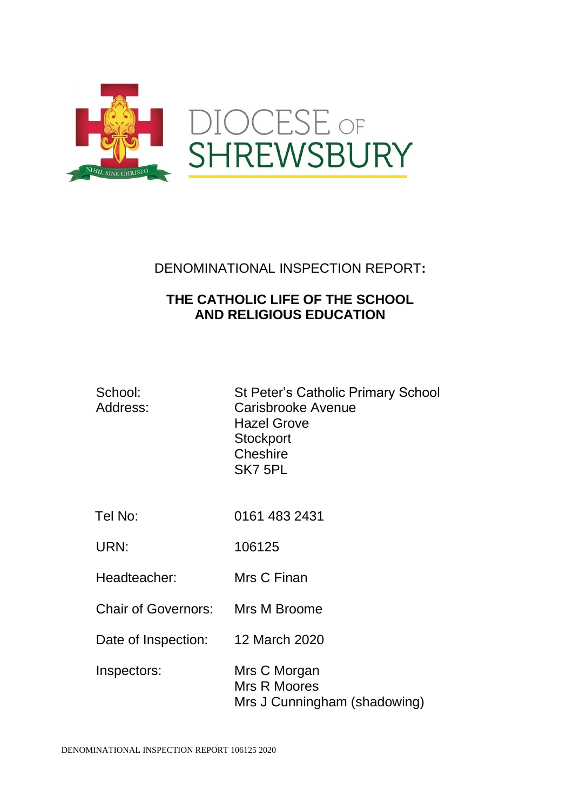

# DENOMINATIONAL INSPECTION REPORT**:**

# **THE CATHOLIC LIFE OF THE SCHOOL AND RELIGIOUS EDUCATION**

| School:<br>Address: | <b>St Peter's Catholic Primary School</b><br>Carisbrooke Avenue<br><b>Hazel Grove</b><br>Stockport<br>Cheshire<br>SK7 5PL |
|---------------------|---------------------------------------------------------------------------------------------------------------------------|
| Tel No:             | 0161 483 2431                                                                                                             |
| URN:                | 106125                                                                                                                    |
| Headteacher:        | Mrs C Finan                                                                                                               |
| Chair of Governors: | Mrs M Broome                                                                                                              |
| Date of Inspection: | 12 March 2020                                                                                                             |
| Inspectors:         | Mrs C Morgan<br><b>Mrs R Moores</b><br>Mrs J Cunningham (shadowing)                                                       |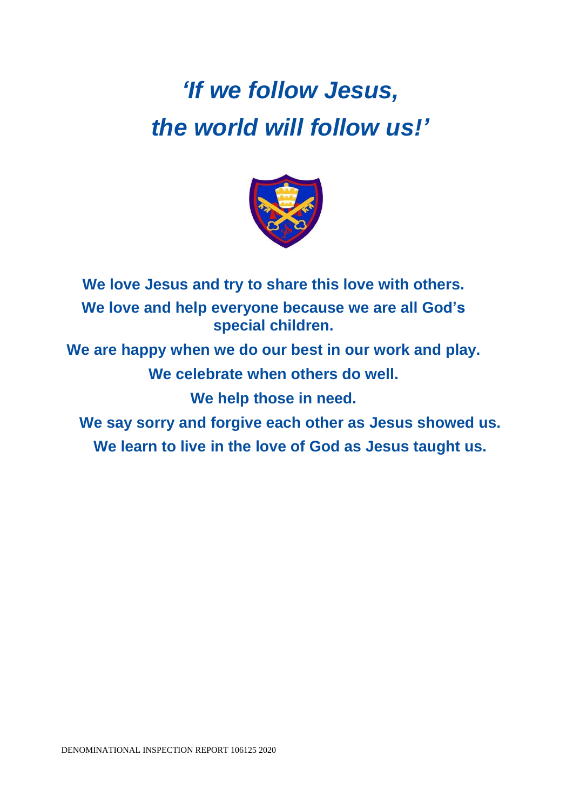# *'If we follow Jesus, the world will follow us!'*



**We love Jesus and try to share this love with others. We love and help everyone because we are all God's special children.**

**We are happy when we do our best in our work and play. We celebrate when others do well.**

**We help those in need.**

**We say sorry and forgive each other as Jesus showed us. We learn to live in the love of God as Jesus taught us.**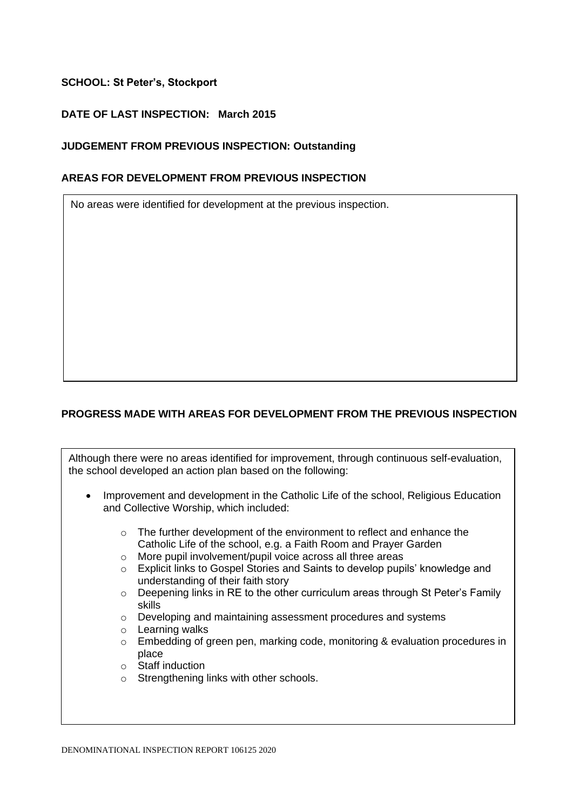# **SCHOOL: St Peter's, Stockport**

# **DATE OF LAST INSPECTION: March 2015**

## **JUDGEMENT FROM PREVIOUS INSPECTION: Outstanding**

#### **AREAS FOR DEVELOPMENT FROM PREVIOUS INSPECTION**

No areas were identified for development at the previous inspection.

# **PROGRESS MADE WITH AREAS FOR DEVELOPMENT FROM THE PREVIOUS INSPECTION**

Although there were no areas identified for improvement, through continuous self-evaluation, the school developed an action plan based on the following:

- Improvement and development in the Catholic Life of the school, Religious Education and Collective Worship, which included:
	- o The further development of the environment to reflect and enhance the Catholic Life of the school, e.g. a Faith Room and Prayer Garden
	- o More pupil involvement/pupil voice across all three areas
	- o Explicit links to Gospel Stories and Saints to develop pupils' knowledge and understanding of their faith story
	- o Deepening links in RE to the other curriculum areas through St Peter's Family skills
	- o Developing and maintaining assessment procedures and systems
	- o Learning walks
	- o Embedding of green pen, marking code, monitoring & evaluation procedures in place
	- o Staff induction
	- o Strengthening links with other schools.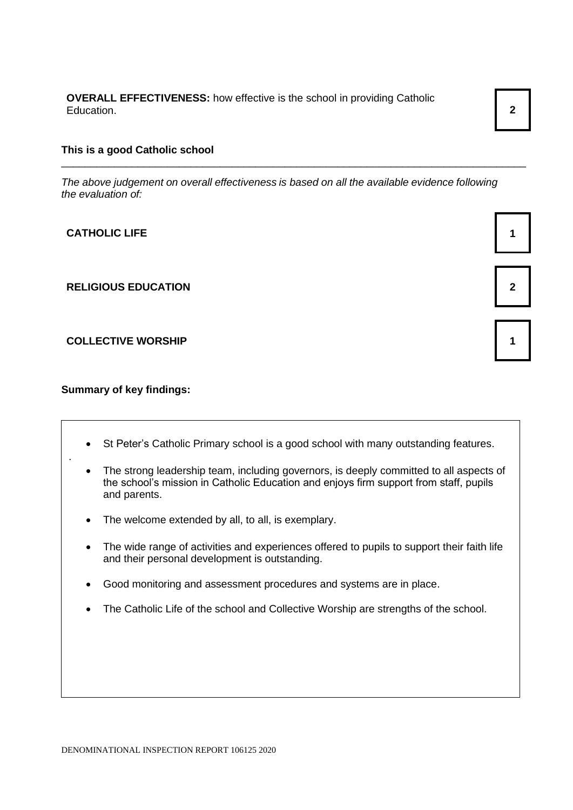**OVERALL EFFECTIVENESS:** how effective is the school in providing Catholic Education. **2**

#### **This is a good Catholic school**

*The above judgement on overall effectiveness is based on all the available evidence following the evaluation of:*

\_\_\_\_\_\_\_\_\_\_\_\_\_\_\_\_\_\_\_\_\_\_\_\_\_\_\_\_\_\_\_\_\_\_\_\_\_\_\_\_\_\_\_\_\_\_\_\_\_\_\_\_\_\_\_\_\_\_\_\_\_\_\_\_\_\_\_\_\_\_\_\_\_\_\_\_\_\_\_

**CATHOLIC LIFE 1**

**RELIGIOUS EDUCATION 2**

#### **COLLECTIVE WORSHIP 1**

**Summary of key findings:**

.

- St Peter's Catholic Primary school is a good school with many outstanding features.
- The strong leadership team, including governors, is deeply committed to all aspects of the school's mission in Catholic Education and enjoys firm support from staff, pupils and parents.
- The welcome extended by all, to all, is exemplary.
- The wide range of activities and experiences offered to pupils to support their faith life and their personal development is outstanding.
- Good monitoring and assessment procedures and systems are in place.
- The Catholic Life of the school and Collective Worship are strengths of the school.



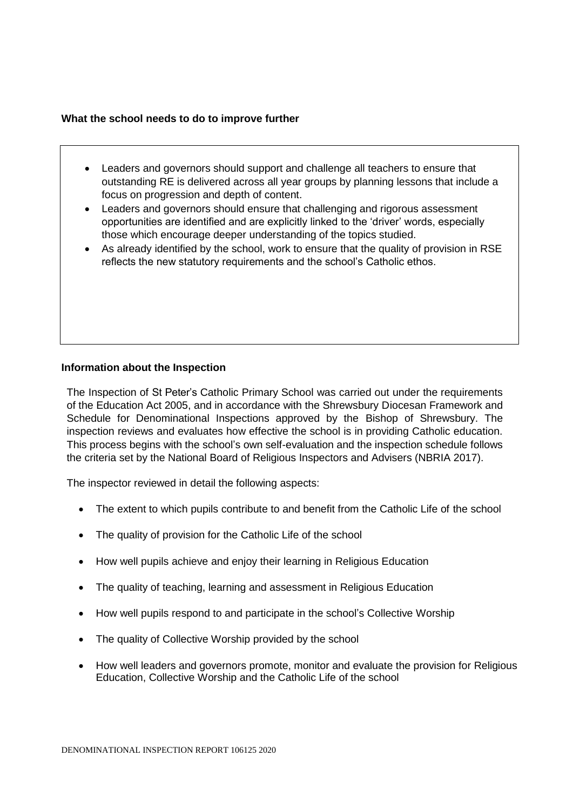#### **What the school needs to do to improve further**

- Leaders and governors should support and challenge all teachers to ensure that outstanding RE is delivered across all year groups by planning lessons that include a focus on progression and depth of content.
- Leaders and governors should ensure that challenging and rigorous assessment opportunities are identified and are explicitly linked to the 'driver' words, especially those which encourage deeper understanding of the topics studied.
- As already identified by the school, work to ensure that the quality of provision in RSE reflects the new statutory requirements and the school's Catholic ethos.

## **Information about the Inspection**

The Inspection of St Peter's Catholic Primary School was carried out under the requirements of the Education Act 2005, and in accordance with the Shrewsbury Diocesan Framework and Schedule for Denominational Inspections approved by the Bishop of Shrewsbury. The inspection reviews and evaluates how effective the school is in providing Catholic education. This process begins with the school's own self-evaluation and the inspection schedule follows the criteria set by the National Board of Religious Inspectors and Advisers (NBRIA 2017).

The inspector reviewed in detail the following aspects:

- The extent to which pupils contribute to and benefit from the Catholic Life of the school
- The quality of provision for the Catholic Life of the school
- How well pupils achieve and enjoy their learning in Religious Education
- The quality of teaching, learning and assessment in Religious Education
- How well pupils respond to and participate in the school's Collective Worship
- The quality of Collective Worship provided by the school
- How well leaders and governors promote, monitor and evaluate the provision for Religious Education, Collective Worship and the Catholic Life of the school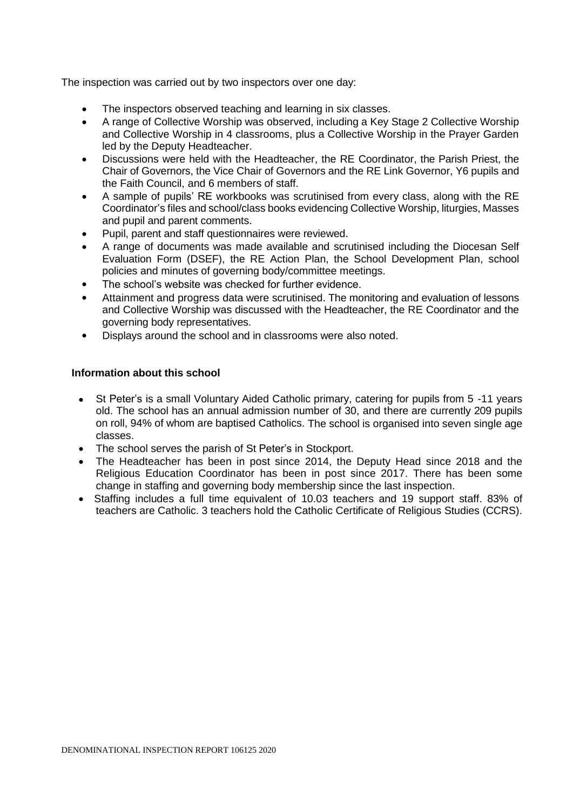The inspection was carried out by two inspectors over one day:

- The inspectors observed teaching and learning in six classes.
- A range of Collective Worship was observed, including a Key Stage 2 Collective Worship and Collective Worship in 4 classrooms, plus a Collective Worship in the Prayer Garden led by the Deputy Headteacher.
- Discussions were held with the Headteacher, the RE Coordinator, the Parish Priest, the Chair of Governors, the Vice Chair of Governors and the RE Link Governor, Y6 pupils and the Faith Council, and 6 members of staff.
- A sample of pupils' RE workbooks was scrutinised from every class, along with the RE Coordinator's files and school/class books evidencing Collective Worship, liturgies, Masses and pupil and parent comments.
- Pupil, parent and staff questionnaires were reviewed.
- A range of documents was made available and scrutinised including the Diocesan Self Evaluation Form (DSEF), the RE Action Plan, the School Development Plan, school policies and minutes of governing body/committee meetings.
- The school's website was checked for further evidence.
- Attainment and progress data were scrutinised. The monitoring and evaluation of lessons and Collective Worship was discussed with the Headteacher, the RE Coordinator and the governing body representatives.
- Displays around the school and in classrooms were also noted.

## **Information about this school**

- St Peter's is a small Voluntary Aided Catholic primary, catering for pupils from 5 -11 years old. The school has an annual admission number of 30, and there are currently 209 pupils on roll, 94% of whom are baptised Catholics. The school is organised into seven single age classes.
- The school serves the parish of St Peter's in Stockport.
- The Headteacher has been in post since 2014, the Deputy Head since 2018 and the Religious Education Coordinator has been in post since 2017. There has been some change in staffing and governing body membership since the last inspection.
- Staffing includes a full time equivalent of 10.03 teachers and 19 support staff. 83% of teachers are Catholic. 3 teachers hold the Catholic Certificate of Religious Studies (CCRS).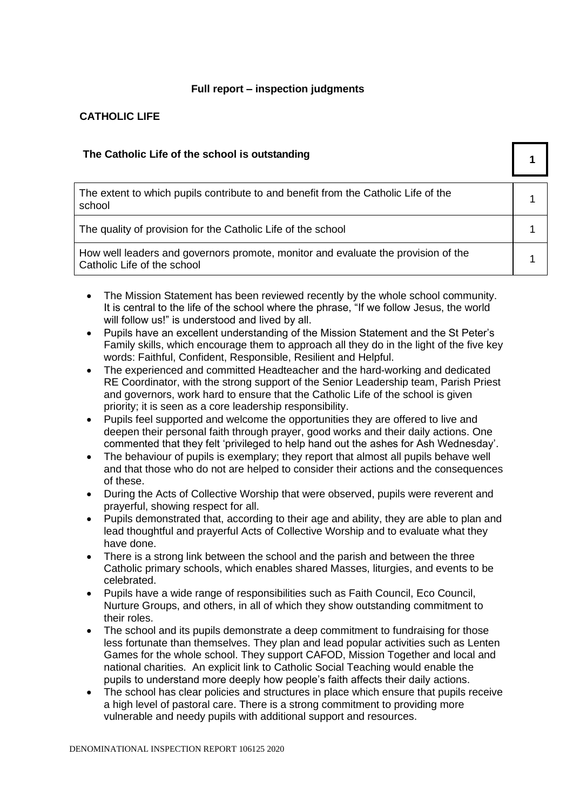# **Full report – inspection judgments**

# **CATHOLIC LIFE**

| The Catholic Life of the school is outstanding                                                                   |  |
|------------------------------------------------------------------------------------------------------------------|--|
| The extent to which pupils contribute to and benefit from the Catholic Life of the<br>school                     |  |
| The quality of provision for the Catholic Life of the school                                                     |  |
| How well leaders and governors promote, monitor and evaluate the provision of the<br>Catholic Life of the school |  |

- The Mission Statement has been reviewed recently by the whole school community. It is central to the life of the school where the phrase, "If we follow Jesus, the world will follow us!" is understood and lived by all.
- Pupils have an excellent understanding of the Mission Statement and the St Peter's Family skills, which encourage them to approach all they do in the light of the five key words: Faithful, Confident, Responsible, Resilient and Helpful.
- The experienced and committed Headteacher and the hard-working and dedicated RE Coordinator, with the strong support of the Senior Leadership team, Parish Priest and governors, work hard to ensure that the Catholic Life of the school is given priority; it is seen as a core leadership responsibility.
- Pupils feel supported and welcome the opportunities they are offered to live and deepen their personal faith through prayer, good works and their daily actions. One commented that they felt 'privileged to help hand out the ashes for Ash Wednesday'.
- The behaviour of pupils is exemplary; they report that almost all pupils behave well and that those who do not are helped to consider their actions and the consequences of these.
- During the Acts of Collective Worship that were observed, pupils were reverent and prayerful, showing respect for all.
- Pupils demonstrated that, according to their age and ability, they are able to plan and lead thoughtful and prayerful Acts of Collective Worship and to evaluate what they have done.
- There is a strong link between the school and the parish and between the three Catholic primary schools, which enables shared Masses, liturgies, and events to be celebrated.
- Pupils have a wide range of responsibilities such as Faith Council, Eco Council, Nurture Groups, and others, in all of which they show outstanding commitment to their roles.
- The school and its pupils demonstrate a deep commitment to fundraising for those less fortunate than themselves. They plan and lead popular activities such as Lenten Games for the whole school. They support CAFOD, Mission Together and local and national charities. An explicit link to Catholic Social Teaching would enable the pupils to understand more deeply how people's faith affects their daily actions.
- The school has clear policies and structures in place which ensure that pupils receive a high level of pastoral care. There is a strong commitment to providing more vulnerable and needy pupils with additional support and resources.

DENOMINATIONAL INSPECTION REPORT 106125 2020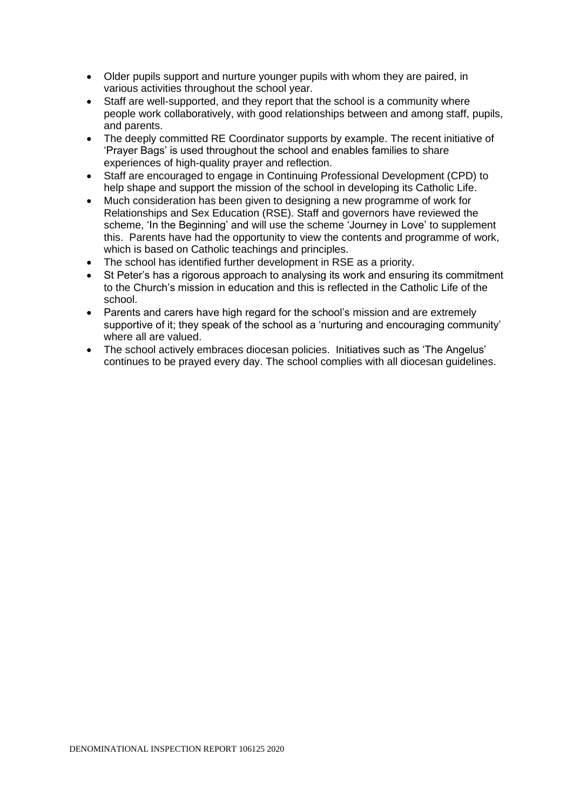- Older pupils support and nurture younger pupils with whom they are paired, in various activities throughout the school year.
- Staff are well-supported, and they report that the school is a community where people work collaboratively, with good relationships between and among staff, pupils, and parents.
- The deeply committed RE Coordinator supports by example. The recent initiative of 'Prayer Bags' is used throughout the school and enables families to share experiences of high-quality prayer and reflection.
- Staff are encouraged to engage in Continuing Professional Development (CPD) to help shape and support the mission of the school in developing its Catholic Life.
- Much consideration has been given to designing a new programme of work for Relationships and Sex Education (RSE). Staff and governors have reviewed the scheme, 'In the Beginning' and will use the scheme 'Journey in Love' to supplement this. Parents have had the opportunity to view the contents and programme of work, which is based on Catholic teachings and principles.
- The school has identified further development in RSE as a priority.
- St Peter's has a rigorous approach to analysing its work and ensuring its commitment to the Church's mission in education and this is reflected in the Catholic Life of the school.
- Parents and carers have high regard for the school's mission and are extremely supportive of it; they speak of the school as a 'nurturing and encouraging community' where all are valued.
- The school actively embraces diocesan policies. Initiatives such as 'The Angelus' continues to be prayed every day. The school complies with all diocesan guidelines.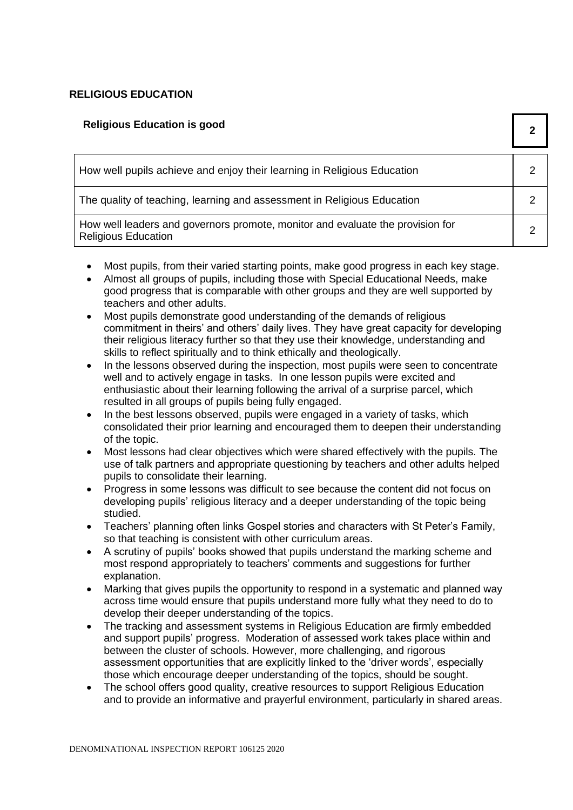# **RELIGIOUS EDUCATION**

| <b>Religious Education is good</b>                                                                           |  |
|--------------------------------------------------------------------------------------------------------------|--|
| How well pupils achieve and enjoy their learning in Religious Education                                      |  |
| The quality of teaching, learning and assessment in Religious Education                                      |  |
| How well leaders and governors promote, monitor and evaluate the provision for<br><b>Religious Education</b> |  |

- Most pupils, from their varied starting points, make good progress in each key stage.
- Almost all groups of pupils, including those with Special Educational Needs, make good progress that is comparable with other groups and they are well supported by teachers and other adults.
- Most pupils demonstrate good understanding of the demands of religious commitment in theirs' and others' daily lives. They have great capacity for developing their religious literacy further so that they use their knowledge, understanding and skills to reflect spiritually and to think ethically and theologically.
- In the lessons observed during the inspection, most pupils were seen to concentrate well and to actively engage in tasks. In one lesson pupils were excited and enthusiastic about their learning following the arrival of a surprise parcel, which resulted in all groups of pupils being fully engaged.
- In the best lessons observed, pupils were engaged in a variety of tasks, which consolidated their prior learning and encouraged them to deepen their understanding of the topic.
- Most lessons had clear objectives which were shared effectively with the pupils. The use of talk partners and appropriate questioning by teachers and other adults helped pupils to consolidate their learning.
- Progress in some lessons was difficult to see because the content did not focus on developing pupils' religious literacy and a deeper understanding of the topic being studied.
- Teachers' planning often links Gospel stories and characters with St Peter's Family, so that teaching is consistent with other curriculum areas.
- A scrutiny of pupils' books showed that pupils understand the marking scheme and most respond appropriately to teachers' comments and suggestions for further explanation.
- Marking that gives pupils the opportunity to respond in a systematic and planned way across time would ensure that pupils understand more fully what they need to do to develop their deeper understanding of the topics.
- The tracking and assessment systems in Religious Education are firmly embedded and support pupils' progress. Moderation of assessed work takes place within and between the cluster of schools. However, more challenging, and rigorous assessment opportunities that are explicitly linked to the 'driver words', especially those which encourage deeper understanding of the topics, should be sought.
- The school offers good quality, creative resources to support Religious Education and to provide an informative and prayerful environment, particularly in shared areas.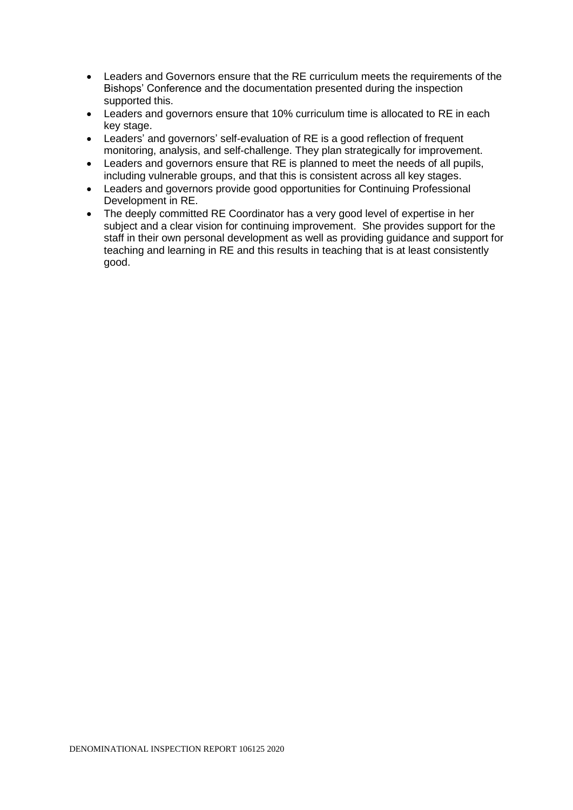- Leaders and Governors ensure that the RE curriculum meets the requirements of the Bishops' Conference and the documentation presented during the inspection supported this.
- Leaders and governors ensure that 10% curriculum time is allocated to RE in each key stage.
- Leaders' and governors' self-evaluation of RE is a good reflection of frequent monitoring, analysis, and self-challenge. They plan strategically for improvement.
- Leaders and governors ensure that RE is planned to meet the needs of all pupils, including vulnerable groups, and that this is consistent across all key stages.
- Leaders and governors provide good opportunities for Continuing Professional Development in RE.
- The deeply committed RE Coordinator has a very good level of expertise in her subject and a clear vision for continuing improvement. She provides support for the staff in their own personal development as well as providing guidance and support for teaching and learning in RE and this results in teaching that is at least consistently good.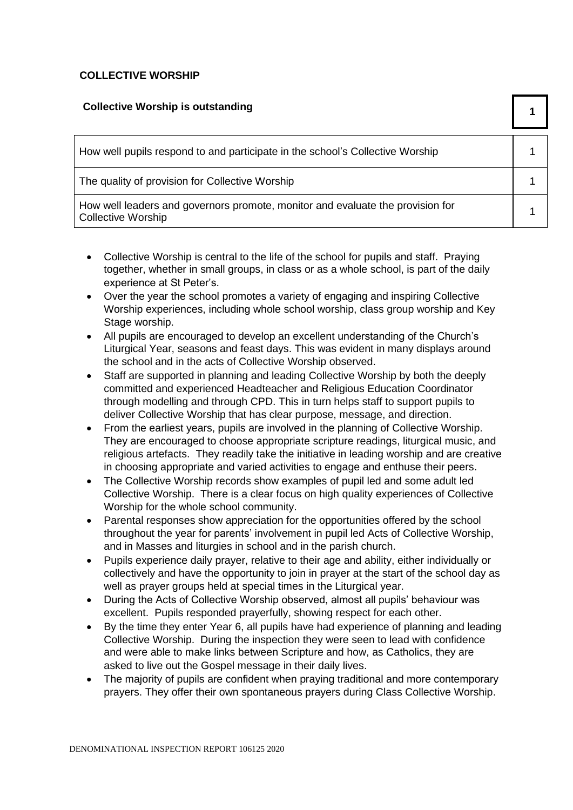# **COLLECTIVE WORSHIP**

| <b>Collective Worship is outstanding</b>                                                                    |  |
|-------------------------------------------------------------------------------------------------------------|--|
| How well pupils respond to and participate in the school's Collective Worship                               |  |
| The quality of provision for Collective Worship                                                             |  |
| How well leaders and governors promote, monitor and evaluate the provision for<br><b>Collective Worship</b> |  |

- Collective Worship is central to the life of the school for pupils and staff. Praying together, whether in small groups, in class or as a whole school, is part of the daily experience at St Peter's.
- Over the year the school promotes a variety of engaging and inspiring Collective Worship experiences, including whole school worship, class group worship and Key Stage worship.
- All pupils are encouraged to develop an excellent understanding of the Church's Liturgical Year, seasons and feast days. This was evident in many displays around the school and in the acts of Collective Worship observed.
- Staff are supported in planning and leading Collective Worship by both the deeply committed and experienced Headteacher and Religious Education Coordinator through modelling and through CPD. This in turn helps staff to support pupils to deliver Collective Worship that has clear purpose, message, and direction.
- From the earliest years, pupils are involved in the planning of Collective Worship. They are encouraged to choose appropriate scripture readings, liturgical music, and religious artefacts. They readily take the initiative in leading worship and are creative in choosing appropriate and varied activities to engage and enthuse their peers.
- The Collective Worship records show examples of pupil led and some adult led Collective Worship. There is a clear focus on high quality experiences of Collective Worship for the whole school community.
- Parental responses show appreciation for the opportunities offered by the school throughout the year for parents' involvement in pupil led Acts of Collective Worship, and in Masses and liturgies in school and in the parish church.
- Pupils experience daily prayer, relative to their age and ability, either individually or collectively and have the opportunity to join in prayer at the start of the school day as well as prayer groups held at special times in the Liturgical year.
- During the Acts of Collective Worship observed, almost all pupils' behaviour was excellent. Pupils responded prayerfully, showing respect for each other.
- By the time they enter Year 6, all pupils have had experience of planning and leading Collective Worship. During the inspection they were seen to lead with confidence and were able to make links between Scripture and how, as Catholics, they are asked to live out the Gospel message in their daily lives.
- The majority of pupils are confident when praying traditional and more contemporary prayers. They offer their own spontaneous prayers during Class Collective Worship.